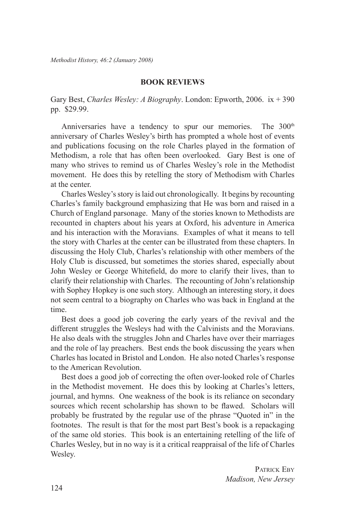## **BOOK REVIEWS**

Gary Best, *Charles Wesley: A Biography*. London: Epworth, 2006. ix + 390 pp. \$29.99.

Anniversaries have a tendency to spur our memories. The 300<sup>th</sup> anniversary of Charles Wesley's birth has prompted a whole host of events and publications focusing on the role Charles played in the formation of Methodism, a role that has often been overlooked. Gary Best is one of many who strives to remind us of Charles Wesley's role in the Methodist movement. He does this by retelling the story of Methodism with Charles at the center.

Charles Wesley's story is laid out chronologically. It begins by recounting Charles's family background emphasizing that He was born and raised in a Church of England parsonage. Many of the stories known to Methodists are recounted in chapters about his years at Oxford, his adventure in America and his interaction with the Moravians. Examples of what it means to tell the story with Charles at the center can be illustrated from these chapters. In discussing the Holy Club, Charles's relationship with other members of the Holy Club is discussed, but sometimes the stories shared, especially about John Wesley or George Whitefield, do more to clarify their lives, than to clarify their relationship with Charles. The recounting of John's relationship with Sophey Hopkey is one such story. Although an interesting story, it does not seem central to a biography on Charles who was back in England at the time.

Best does a good job covering the early years of the revival and the different struggles the Wesleys had with the Calvinists and the Moravians. He also deals with the struggles John and Charles have over their marriages and the role of lay preachers. Best ends the book discussing the years when Charles has located in Bristol and London. He also noted Charles's response to the American Revolution.

Best does a good job of correcting the often over-looked role of Charles in the Methodist movement. He does this by looking at Charles's letters, journal, and hymns. One weakness of the book is its reliance on secondary sources which recent scholarship has shown to be flawed. Scholars will probably be frustrated by the regular use of the phrase "Quoted in" in the footnotes. The result is that for the most part Best's book is a repackaging of the same old stories. This book is an entertaining retelling of the life of Charles Wesley, but in no way is it a critical reappraisal of the life of Charles Wesley.

> PATRICK EBY *Madison, New Jersey*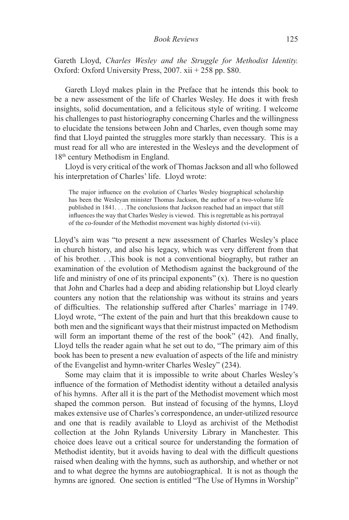Gareth Lloyd, *Charles Wesley and the Struggle for Methodist Identity.* Oxford: Oxford University Press, 2007. xii + 258 pp. \$80.

Gareth Lloyd makes plain in the Preface that he intends this book to be a new assessment of the life of Charles Wesley. He does it with fresh insights, solid documentation, and a felicitous style of writing. I welcome his challenges to past historiography concerning Charles and the willingness to elucidate the tensions between John and Charles, even though some may find that Lloyd painted the struggles more starkly than necessary. This is a must read for all who are interested in the Wesleys and the development of 18th century Methodism in England.

Lloyd is very critical of the work of Thomas Jackson and all who followed his interpretation of Charles' life. Lloyd wrote:

The major influence on the evolution of Charles Wesley biographical scholarship has been the Wesleyan minister Thomas Jackson, the author of a two-volume life published in 1841. . . .The conclusions that Jackson reached had an impact that still influences the way that Charles Wesley is viewed. This is regrettable as his portrayal of the co-founder of the Methodist movement was highly distorted (vi-vii).

Lloyd's aim was "to present a new assessment of Charles Wesley's place in church history, and also his legacy, which was very different from that of his brother. . .This book is not a conventional biography, but rather an examination of the evolution of Methodism against the background of the life and ministry of one of its principal exponents"  $(x)$ . There is no question that John and Charles had a deep and abiding relationship but Lloyd clearly counters any notion that the relationship was without its strains and years of difficulties. The relationship suffered after Charles' marriage in 1749. Lloyd wrote, "The extent of the pain and hurt that this breakdown cause to both men and the significant ways that their mistrust impacted on Methodism will form an important theme of the rest of the book" (42). And finally, Lloyd tells the reader again what he set out to do, "The primary aim of this book has been to present a new evaluation of aspects of the life and ministry of the Evangelist and hymn-writer Charles Wesley" (234).

Some may claim that it is impossible to write about Charles Wesley's influence of the formation of Methodist identity without a detailed analysis of his hymns. After all it is the part of the Methodist movement which most shaped the common person. But instead of focusing of the hymns, Lloyd makes extensive use of Charles's correspondence, an under-utilized resource and one that is readily available to Lloyd as archivist of the Methodist collection at the John Rylands University Library in Manchester. This choice does leave out a critical source for understanding the formation of Methodist identity, but it avoids having to deal with the difficult questions raised when dealing with the hymns, such as authorship, and whether or not and to what degree the hymns are autobiographical. It is not as though the hymns are ignored. One section is entitled "The Use of Hymns in Worship"